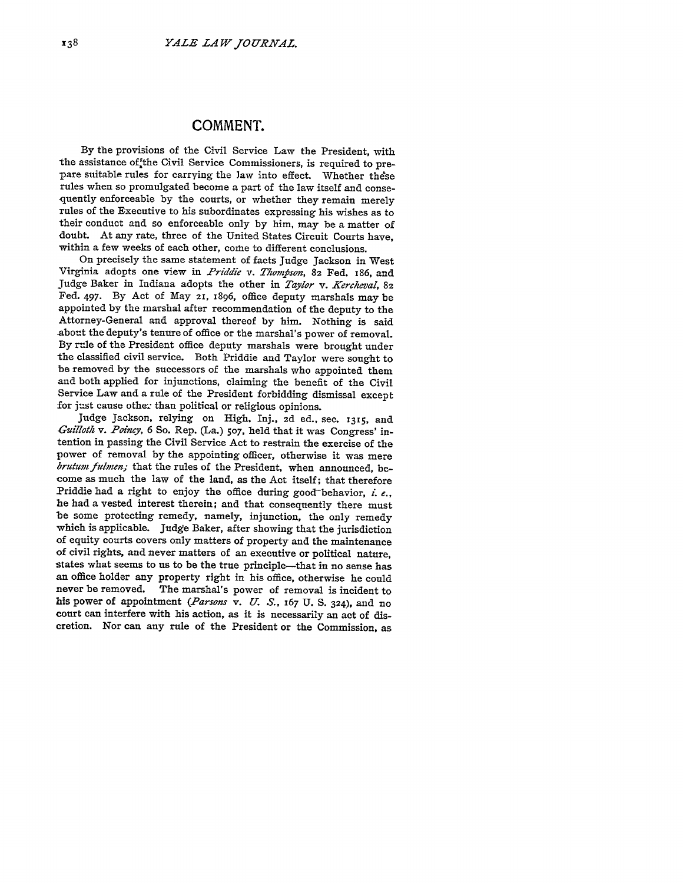## **COMMENT.**

**By** the provisions of the Civil Service Law the President, with the assistance of the Civil Service Commissioners, is required to prepare suitable rules for carrying the law into effect. Whether these rules when so promulgated become a part of the law itself and consequently enforceable by the courts, or whether they remain merely rules of the Executive to his subordinates expressing his wishes as to their conduct and so enforceable only by him, may be a matter of doubt. At any rate, three of the United States Circuit Courts have, within a few weeks of each other, come to different conclusions.

On precisely the same statement of facts Judge Jackson in West Virginia adopts one view in *Priddie v. Thompson*, 82 Fed. 186, and Judge Baker in Indiana adopts the other in *Taylor v. Kercheval*, 82 Fed. 497. By Act of May **21,** 1896, office deputy marshals may be appointed by the marshal after recommendation of the deputy to the Attorney-General and approval thereof by him. Nothing is said about the deputy's tenure of office or the marshal's power of removal. By rule of the President office deputy marshals were brought under the classified civil service. Both Priddie and Taylor were sought to be removed by the successors of the marshals who appointed them and both applied for injunctions, claiming the benefit of the Civil Service Law and a rule of the President forbidding dismissal except for just cause other than political or religious opinions.

Judge Jackson, relying on High, Inj., **2d** ed., sec. **1315,** and *Guilloth v. Poincy,* 6 So. Rep. (La.) **507,** held that it was Congress' intention in passing the Civil Service Act to restrain the exercise of the power of removal by the appointing officer, otherwise it was mere brutum fulmen; that the rules of the President, when announced, become as much the law of the land, as the Act itself; that therefore Priddie had a right to enjoy the office during good-behavior, *i. e.,* he had a vested interest therein; and that consequently there must be some protecting remedy, namely, injunction, the only remedy which is applicable. Judge Baker, after showing that the jurisdiction of equity courts covers only matters of property and the maintenance of civil rights, and never matters of an executive or political nature, states what seems to us to be the true principle—that in no sense has an office holder any property right in his office, otherwise he could never be removed. The marshal's power of removal is incident to his power of appointment *(Parsons* v. *U. S.,* **167** U. **S. 324),** and no court can interfere with his action, as it is necessarily an act of discretion. Nor can any rule of the President or the Commission, as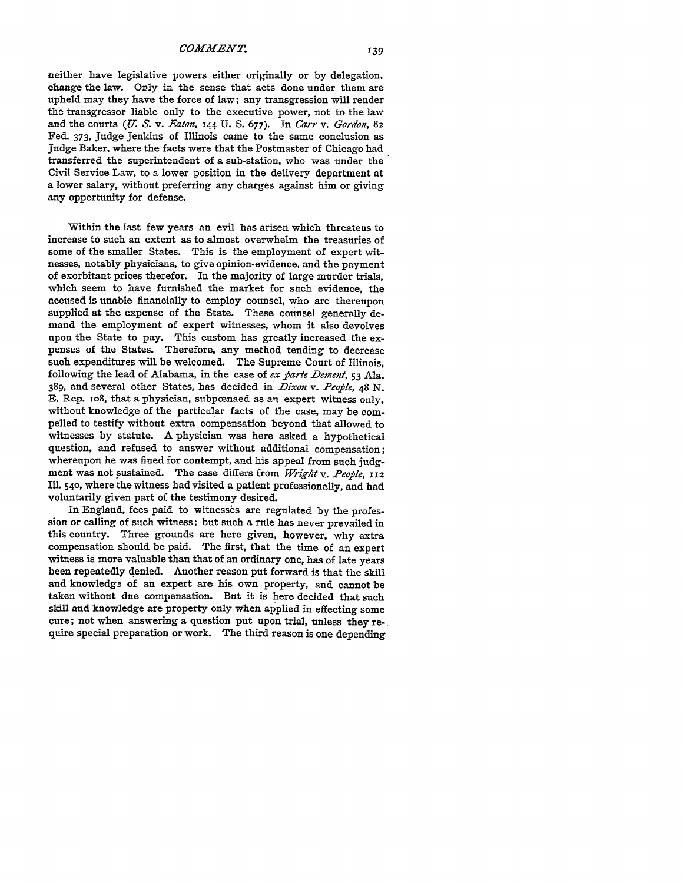neither have legislative powers either originally or by delegation, change the law. Orly in the sense that acts done under them are upheld may they have the force of law; any transgression will render the transgressor liable only to the executive power, not to the law and the courts *(U. S.* v. *Eaton,* 144 **U. S.** 677). In *Carr v. Gordon,* **82** Fed. 373, Judge Jenkins of Illinois came to the same conclusion as Judge Baker, where the facts were that the Postmaster of Chicago had transferred the superintendent of a sub-station, who was under the Civil Service Law, to a lower position in the delivery department at a lower salary, without preferring any charges against him or giving any opportunity for defense.

Within the last few years an evil has arisen which threatens to increase to such an extent as to almost overwhelm the treasuries of some of the smaller States. This is the employment of expert witnesses, notably physicians, to give opinion-evidence, and the payment of exorbitant prices therefor. In the majority of large murder trials, which seem to have furnished the market for such evidence, the accused is unable financially to employ counsel, who are thereupon supplied at the expense of the State. These counsel generally demand the employment of expert witnesses, whom it also devolves upon the State to pay. This custom has greatly increased the expenses of the States. Therefore, any method tending to decrease such expenditures will be welcomed. The Supreme Court of Illinois, following the lead of Alabama, in the case of *ex parte Dement*,  $\zeta$ 3 Ala. 389, and several other States, has decided in *Dixon v. People*, 48 N. **E.** Rep. io8, that a physician, subpoenaed as an expert witness only, without knowledge of the particular facts of the case, may be compelled to testify without extra compensation beyond that allowed to witnesses by statute. A physician was here asked a hypothetical question, and refused to answer without additional compensation; whereupon he was fined for contempt, and his appeal from such judgment was not sustained. The case differs from Wright v. People, 112 **Ill.** 540, where the witness had visited a patient professionally, and had voluntarily given part of the testimony desired.

In England, fees paid to witnesses are regulated by the profession or calling of such witness; but such a rule has never prevailed in this country. Three grounds are here given, however, why extra compensation should be paid. The first, that the time of an expert witness is more valuable than that of an ordinary one, has of late years been repeatedly denied. Another reason put forward is that the skill and knowledge of an expert are his own property, and cannot be taken without due compensation. But it is here decided that such skill and knowledge are property only when applied in effecting some cure; not when answering a question put upon trial, unless they require special preparation or work. The third reason is one depending